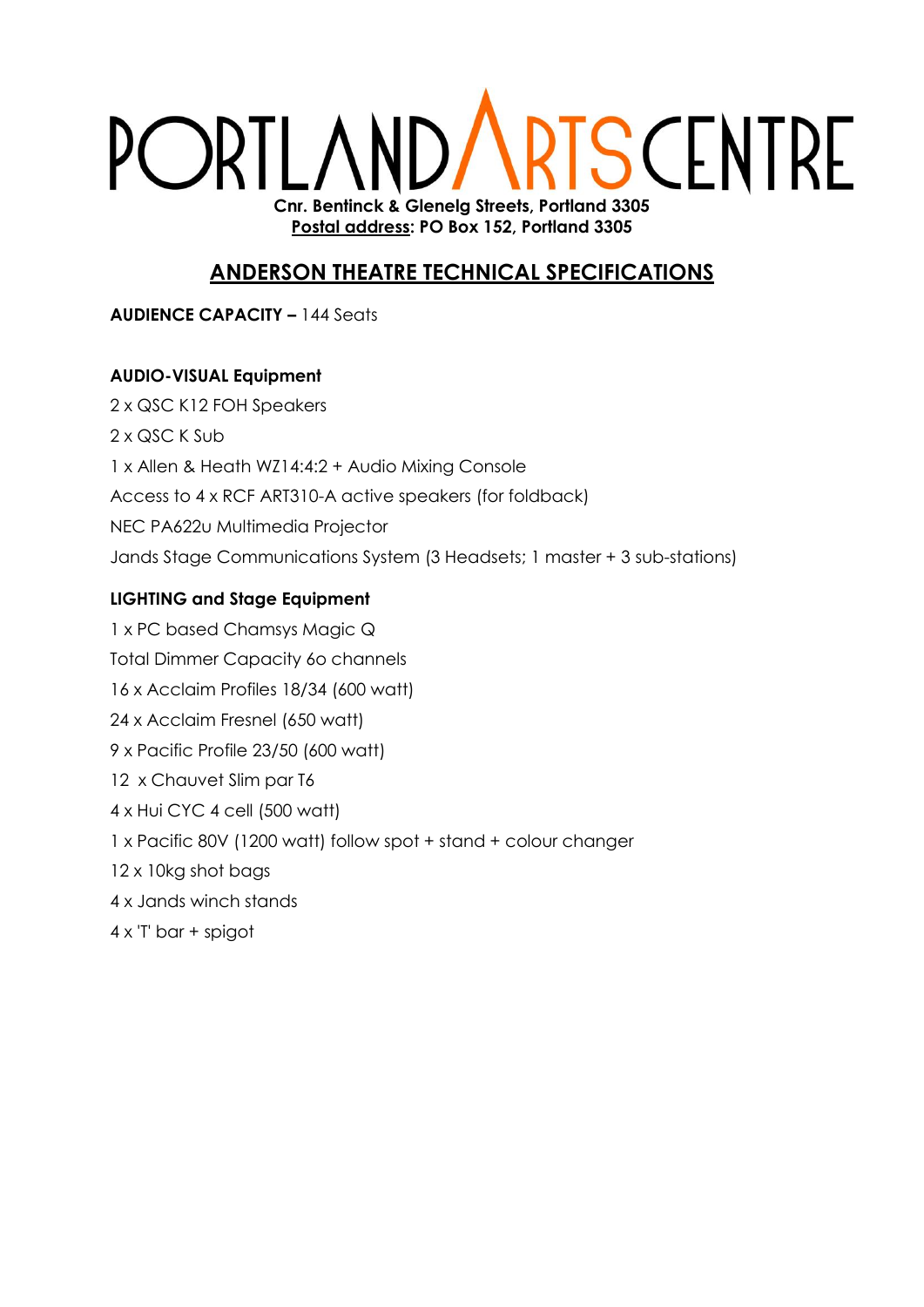# **IRTS CENTRE** PORTLAND, **Cnr. Bentinck & Glenelg Streets, Portland 3305**

**Postal address: PO Box 152, Portland 3305**

### **ANDERSON THEATRE TECHNICAL SPECIFICATIONS**

**AUDIENCE CAPACITY –** 144 Seats

#### **AUDIO-VISUAL Equipment**

2 x QSC K12 FOH Speakers 2 x QSC K Sub 1 x Allen & Heath WZ14:4:2 + Audio Mixing Console Access to 4 x RCF ART310-A active speakers (for foldback) NEC PA622u Multimedia Projector Jands Stage Communications System (3 Headsets; 1 master + 3 sub-stations)

#### **LIGHTING and Stage Equipment**

1 x PC based Chamsys Magic Q Total Dimmer Capacity 6o channels 16 x Acclaim Profiles 18/34 (600 watt) 24 x Acclaim Fresnel (650 watt) 9 x Pacific Profile 23/50 (600 watt) 12 x Chauvet Slim par T6 4 x Hui CYC 4 cell (500 watt) 1 x Pacific 80V (1200 watt) follow spot + stand + colour changer 12 x 10kg shot bags 4 x Jands winch stands 4 x 'T' bar + spigot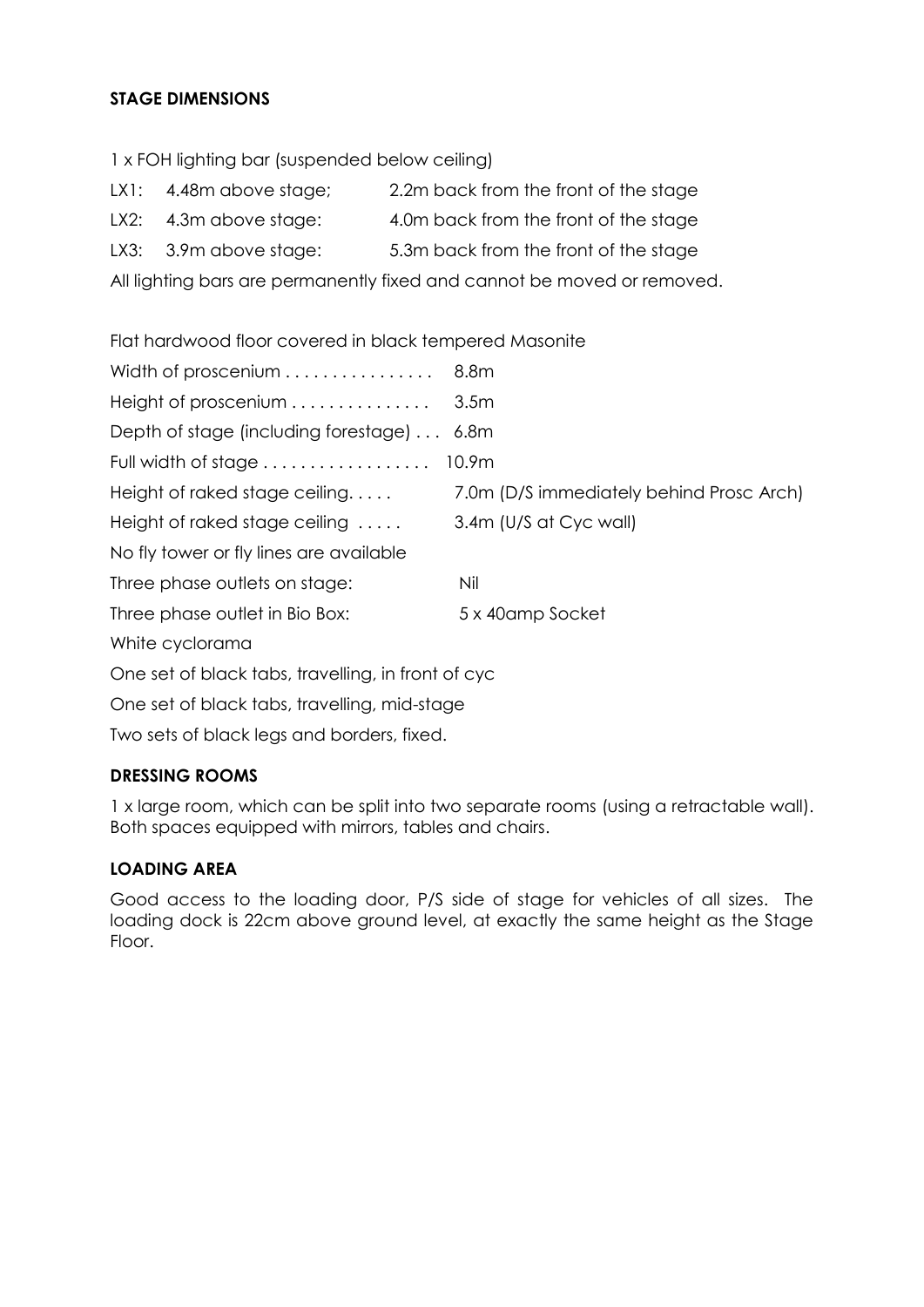#### **STAGE DIMENSIONS**

1 x FOH lighting bar (suspended below ceiling)

- LX1: 4.48m above stage; 2.2m back from the front of the stage
- LX2: 4.3m above stage: 4.0m back from the front of the stage
- LX3: 3.9m above stage: 5.3m back from the front of the stage

All lighting bars are permanently fixed and cannot be moved or removed.

Flat hardwood floor covered in black tempered Masonite

| Width of proscenium                                | 8.8m                                     |  |  |
|----------------------------------------------------|------------------------------------------|--|--|
| Height of proscenium                               | 3.5 <sub>m</sub>                         |  |  |
| Depth of stage (including forestage)  6.8m         |                                          |  |  |
| Full width of stage                                | 10.9 <sub>m</sub>                        |  |  |
| Height of raked stage ceiling                      | 7.0m (D/S immediately behind Prosc Arch) |  |  |
| Height of raked stage ceiling                      | 3.4m (U/S at Cyc wall)                   |  |  |
| No fly tower or fly lines are available            |                                          |  |  |
| Three phase outlets on stage:                      | Nil                                      |  |  |
| Three phase outlet in Bio Box:                     | 5 x 40 amp Socket                        |  |  |
| White cyclorama                                    |                                          |  |  |
| One set of black tabs, travelling, in front of cyc |                                          |  |  |
| One set of black tabs, travelling, mid-stage       |                                          |  |  |

Two sets of black legs and borders, fixed.

#### **DRESSING ROOMS**

1 x large room, which can be split into two separate rooms (using a retractable wall). Both spaces equipped with mirrors, tables and chairs.

#### **LOADING AREA**

Good access to the loading door, P/S side of stage for vehicles of all sizes. The loading dock is 22cm above ground level, at exactly the same height as the Stage Floor.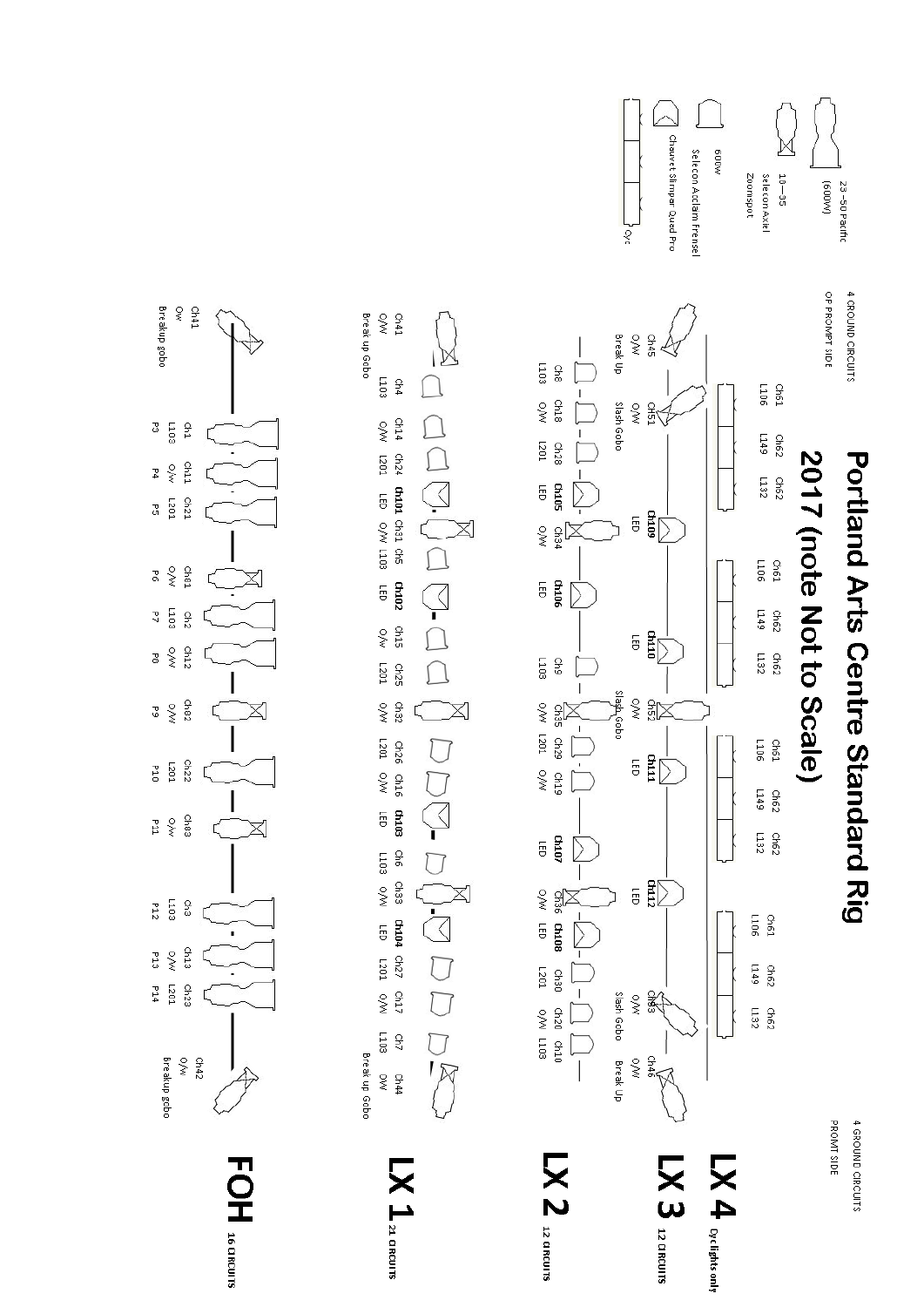



 $\begin{array}{c} \text{ch41} \\ \text{O} \text{M} \end{array}$ 

 $50T$ β4

- ch25<br>- L201

Ch32

 $2470$  chas chase ches chase chape charve charve charve charve charve charve charve super charve super charve super charve super charve super charve super charve super charve super charve super charve super charve super c

 $1103$  $240$ 

 $\begin{array}{c}\n\text{c.} \\
\text{c.} \\
\text{d.} \\
\text{d.} \\
\text{d.} \\
\text{d.} \\
\text{d.} \\
\text{d.} \\
\text{d.} \\
\text{d.} \\
\text{d.} \\
\text{d.} \\
\text{d.} \\
\text{d.} \\
\text{d.} \\
\text{d.} \\
\text{d.} \\
\text{d.} \\
\text{d.} \\
\text{d.} \\
\text{d.} \\
\text{d.} \\
\text{d.} \\
\text{d.} \\
\text{d.} \\
\text{d.} \\
\text{d.} \\
\text{d.} \\
\text{d.} \\
\text{d.} \\
\text$ 

 $\mathbf{X}$   $\mathbf{1}_{\text{a cosons}}$ 

Break up Gobo

 $\sim$ 

Break up Gobo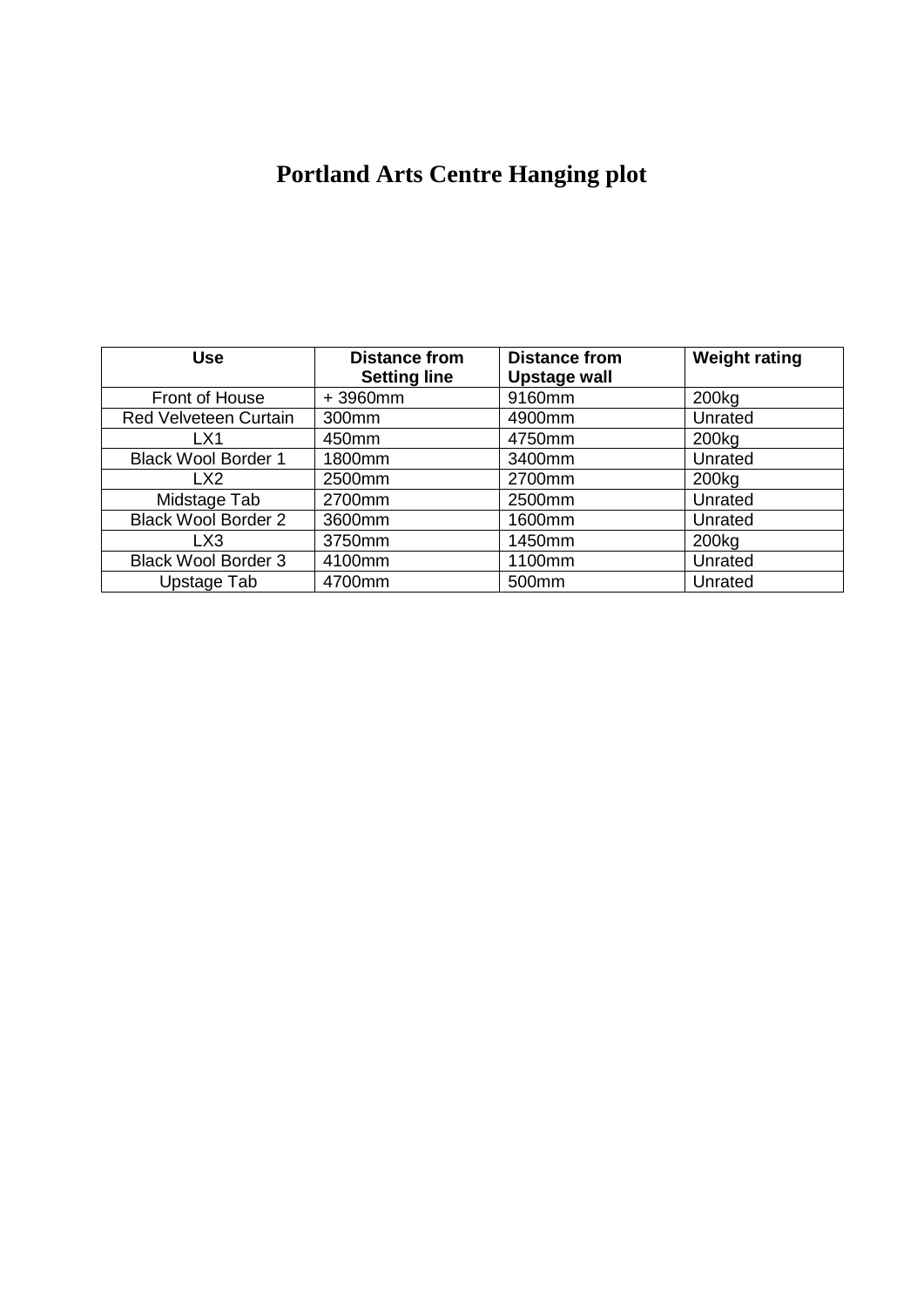## **Portland Arts Centre Hanging plot**

| <b>Use</b>                   | <b>Distance from</b><br><b>Setting line</b> | <b>Distance from</b><br>Upstage wall | <b>Weight rating</b> |
|------------------------------|---------------------------------------------|--------------------------------------|----------------------|
| Front of House               | $+3960$ mm                                  | 9160mm                               | 200 <sub>kg</sub>    |
| <b>Red Velveteen Curtain</b> | 300mm                                       | 4900mm                               | Unrated              |
| LX1                          | 450mm                                       | 4750mm                               | 200 <sub>kg</sub>    |
| <b>Black Wool Border 1</b>   | 1800mm                                      | 3400mm                               | Unrated              |
| LX <sub>2</sub>              | 2500mm                                      | 2700mm                               | 200 <sub>kg</sub>    |
| Midstage Tab                 | 2700mm                                      | 2500mm                               | Unrated              |
| <b>Black Wool Border 2</b>   | 3600mm                                      | 1600mm                               | Unrated              |
| LX3                          | 3750mm                                      | 1450mm                               | 200 <sub>kg</sub>    |
| <b>Black Wool Border 3</b>   | 4100mm                                      | 1100mm                               | Unrated              |
| Upstage Tab                  | 4700mm                                      | 500mm                                | Unrated              |